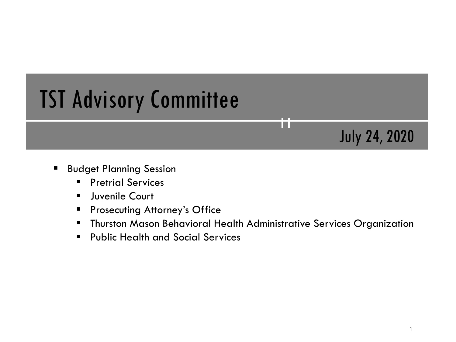# TST Advisory Committee

## July 24, 2020

- **Budget Planning Session** 
	- **Pretrial Services**
	- **Juvenile Court**
	- **Prosecuting Attorney's Office**
	- Thurston Mason Behavioral Health Administrative Services Organization

T T

**Public Health and Social Services**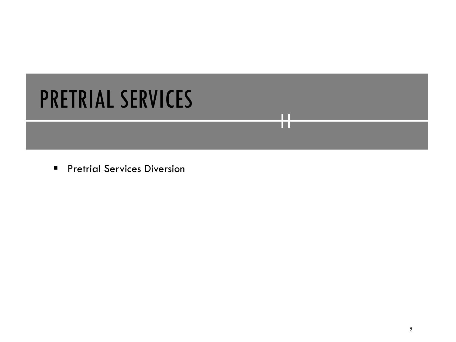# PRETRIAL SERVICES

**Pretrial Services Diversion** 

n n l II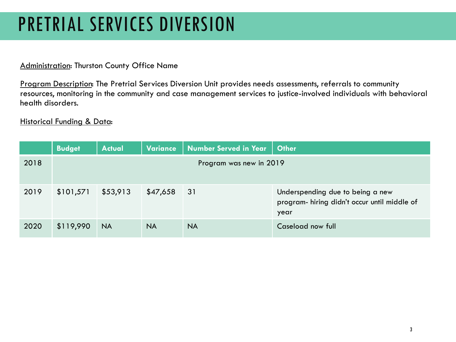## PRETRIAL SERVICES DIVERSION

#### Administration: Thurston County Office Name

Program Description: The Pretrial Services Diversion Unit provides needs assessments, referrals to community resources, monitoring in the community and case management services to justice-involved individuals with behavioral health disorders.

|      | <b>Budget</b> | <b>Actual</b> | <b>Variance</b> | Number Served in Year   | <b>Other</b>                                                                             |
|------|---------------|---------------|-----------------|-------------------------|------------------------------------------------------------------------------------------|
| 2018 |               |               |                 | Program was new in 2019 |                                                                                          |
| 2019 | \$101,571     | \$53,913      | \$47,658        | 31                      | Underspending due to being a new<br>program- hiring didn't occur until middle of<br>year |
| 2020 | \$119,990     | <b>NA</b>     | <b>NA</b>       | <b>NA</b>               | Caseload now full                                                                        |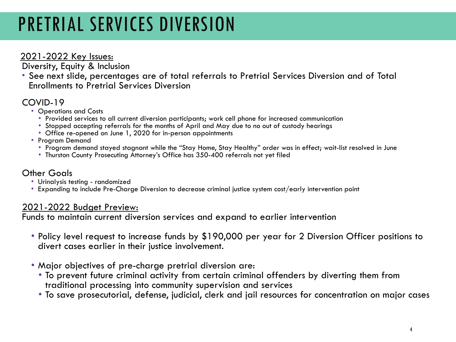# PRETRIAL SERVICES DIVERSION

### 2021-2022 Key Issues:

Diversity, Equity & Inclusion<br>• See next slide, percentages are of total referrals to Pretrial Services Diversion and of Total Enrollments to Pretrial Services Diversion

- COVID-19 Operations and Costs
	- Provided services to all current diversion participants; work cell phone for increased communication
	- Stopped accepting referrals for the months of April and May due to no out of custody hearings
	- Office re-opened on June 1, 2020 for in-person appointments Program Demand
	- - Program demand stayed stagnant while the "Stay Home, Stay Healthy" order was in effect; wait-list resolved in June<br>• Thurston County Prosecuting Attorney's Office has 350-400 referrals not yet filed
		-

- 
- Other Goals<br>• Urinalysis testing randomized<br>• Expanding to include Pre-Charge Diversion to decrease criminal justice system cost/early intervention point

### 2021-2022 Budget Preview:

Funds to maintain current diversion services and expand to earlier intervention

- Policy level request to increase funds by \$190,000 per year for 2 Diversion Officer positions to divert cases earlier in their justice involvement.
- 
- Major objectives of pre-charge pretrial diversion are: To prevent future criminal activity from certain criminal offenders by diverting them from traditional processing into community supervision and services
	- To save prosecutorial, defense, judicial, clerk and jail resources for concentration on major cases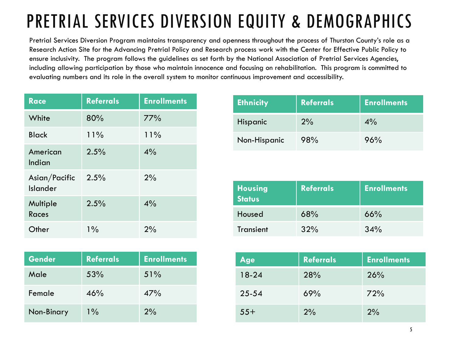# PRETRIAL SERVICES DIVERSION EQUITY & DEMOGRAPHICS

Pretrial Services Diversion Program maintains transparency and openness throughout the process of Thurston County's role as a Research Action Site for the Advancing Pretrial Policy and Research process work with the Center for Effective Public Policy to ensure inclusivity. The program follows the guidelines as set forth by the National Association of Pretrial Services Agencies, including allowing participation by those who maintain innocence and focusing on rehabilitation. This program is committed to evaluating numbers and its role in the overall system to monitor continuous improvement and accessibility.

| <b>Race</b>                      | <b>Referrals</b> | <b>Enrollments</b> |
|----------------------------------|------------------|--------------------|
| White                            | 80%              | 77%                |
| <b>Black</b>                     | 11%              | 11%                |
| American<br>Indian               | 2.5%             | 4%                 |
| Asian/Pacific<br><b>Islander</b> | 2.5%             | 2%                 |
| Multiple<br><b>Races</b>         | 2.5%             | 4%                 |
| Other                            | $1\%$            | 2%                 |

| <b>Gender</b> | <b>Referrals</b> | <b>Enrollments</b> |
|---------------|------------------|--------------------|
| Male          | 53%              | 51%                |
| Female        | 46%              | 47%                |
| Non-Binary    | $1\%$            | 2%                 |

| <b>Ethnicity</b> | <b>Referrals</b> | <b>Enrollments</b> |
|------------------|------------------|--------------------|
| Hispanic         | 2%               | $4\%$              |
| Non-Hispanic     | 98%              | 96%                |

| <b>Housing</b><br><b>Status</b> | <b>Referrals</b> | <b>Enrollments</b> |
|---------------------------------|------------------|--------------------|
| Housed                          | 68%              | 66%                |
| Transient                       | 32%              | 34%                |

| Age       | <b>Referrals</b> | <b>Enrollments</b> |
|-----------|------------------|--------------------|
| $18-24$   | 28%              | 26%                |
| $25 - 54$ | 69%              | 72%                |
| $55+$     | 2%               | 2%                 |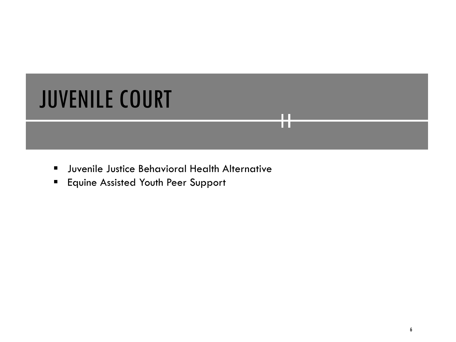# JUVENILE COURT

**ULTA:** Juvenile Justice Behavioral Health Alternative

П TП

**Equine Assisted Youth Peer Support**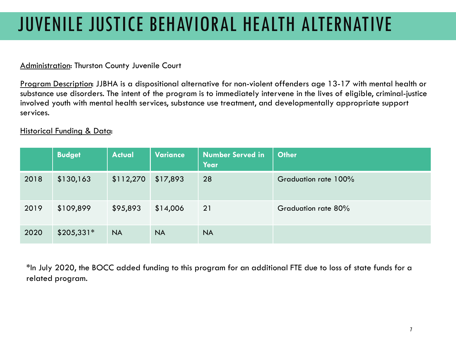## JUVENILE JUSTICE BEHAVIORAL HEALTH ALTERNATIVE

#### Administration: Thurston County Juvenile Court

Program Description: JJBHA is a dispositional alternative for non-violent offenders age 13-17 with mental health or substance use disorders. The intent of the program is to immediately intervene in the lives of eligible, criminal-justice involved youth with mental health services, substance use treatment, and developmentally appropriate support services.

#### Historical Funding & Data:

|      | <b>Budget</b> | <b>Actual</b> | Variance  | <b>Number Served in</b><br>Year | <b>Other</b>         |
|------|---------------|---------------|-----------|---------------------------------|----------------------|
| 2018 | \$130,163     | \$112,270     | \$17,893  | 28                              | Graduation rate 100% |
| 2019 | \$109,899     | \$95,893      | \$14,006  | 21                              | Graduation rate 80%  |
| 2020 | $$205,331*$   | <b>NA</b>     | <b>NA</b> | <b>NA</b>                       |                      |

\*In July 2020, the BOCC added funding to this program for an additional FTE due to loss of state funds for a related program.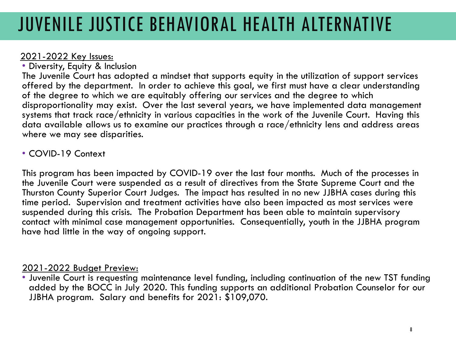## JUVENILE JUSTICE BEHAVIORAL HEALTH ALTERNATIVE

2021-2022 Key Issues: • Diversity, Equity & Inclusion

The Juvenile Court has adopted a mindset that supports equity in the utilization of support services offered by the department. In order to achieve this goal, we first must have a clear understanding of the degree to which we are equitably offering our services and the degree to which disproportionality may exist. Over the last several years, we have implemented data management systems that track race/ethnicity in various capacities in the work of the Juvenile Court. Having this data available allows us to examine our practices through a race/ethnicity lens and address areas where we may see disparities.

### • COVID-19 Context

This program has been impacted by COVID-19 over the last four months. Much of the processes in the Juvenile Court were suspended as a result of directives from the State Supreme Court and the Thurston County Superior Court Judges. The impact has resulted in no new JJBHA cases during this time period. Supervision and treatment activities have also been impacted as most services were suspended during this crisis. The Probation Department has been able to maintain supervisory contact with minimal case management opportunities. Consequentially, youth in the JJBHA program have had little in the way of ongoing support.

2021-2022 Budget Preview:<br>• Juvenile Court is requesting maintenance level funding, including continuation of the new TST funding added by the BOCC in July 2020. This funding supports an additional Probation Counselor for our JJBHA program. Salary and benefits for 2021: \$109,070.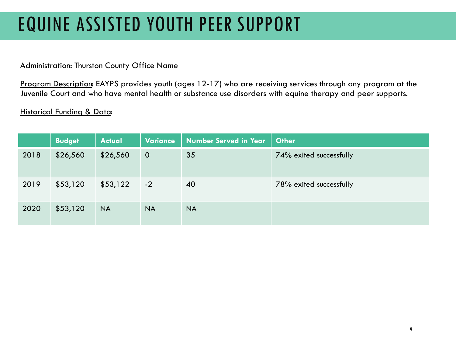## EQUINE ASSISTED YOUTH PEER SUPPORT

#### Administration: Thurston County Office Name

Program Description: EAYPS provides youth (ages 12-17) who are receiving services through any program at the Juvenile Court and who have mental health or substance use disorders with equine therapy and peer supports.

|      | <b>Budget</b> | <b>Actual</b> | Variance       | <b>Number Served in Year</b> | <b>Other</b>            |
|------|---------------|---------------|----------------|------------------------------|-------------------------|
| 2018 | \$26,560      | \$26,560      | $\overline{O}$ | 35                           | 74% exited successfully |
| 2019 | \$53,120      | \$53,122      | $-2$           | 40                           | 78% exited successfully |
| 2020 | \$53,120      | <b>NA</b>     | <b>NA</b>      | <b>NA</b>                    |                         |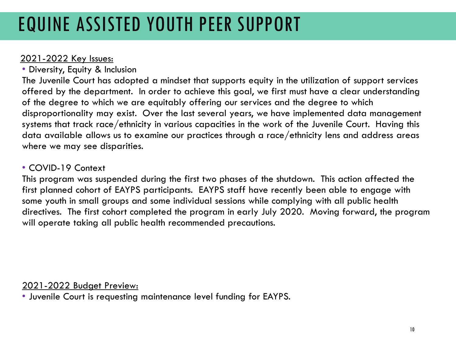## EQUINE ASSISTED YOUTH PEER SUPPORT

### 2021-2022 Key Issues:

• Diversity, Equity & Inclusion

The Juvenile Court has adopted a mindset that supports equity in the utilization of support services offered by the department. In order to achieve this goal, we first must have a clear understanding of the degree to which we are equitably offering our services and the degree to which disproportionality may exist. Over the last several years, we have implemented data management systems that track race/ethnicity in various capacities in the work of the Juvenile Court. Having this data available allows us to examine our practices through a race/ethnicity lens and address areas where we may see disparities.

### • COVID-19 Context

This program was suspended during the first two phases of the shutdown. This action affected the first planned cohort of EAYPS participants. EAYPS staff have recently been able to engage with some youth in small groups and some individual sessions while complying with all public health directives. The first cohort completed the program in early July 2020. Moving forward, the program will operate taking all public health recommended precautions.

### 2021-2022 Budget Preview:

• Juvenile Court is requesting maintenance level funding for EAYPS.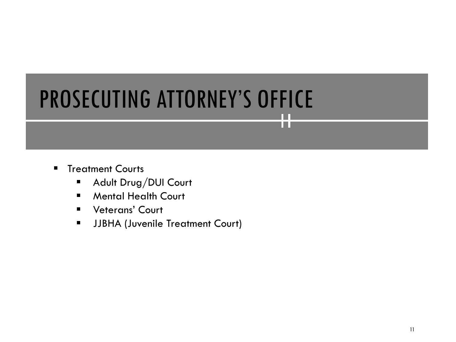# PROSECUTING ATTORNEY'S OFFICE

TП

- **F** Treatment Courts
	- **Adult Drug/DUI Court**
	- **Mental Health Court**
	- **U** Veterans' Court
	- **JJBHA (Juvenile Treatment Court)**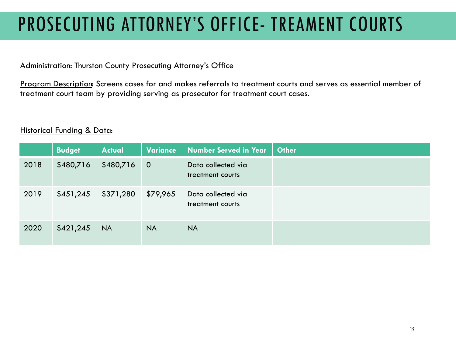## PROSECUTING ATTORNEY'S OFFICE- TREAMENT COURTS

#### Administration: Thurston County Prosecuting Attorney's Office

Program Description: Screens cases for and makes referrals to treatment courts and serves as essential member of treatment court team by providing serving as prosecutor for treatment court cases.

|      | <b>Budget</b> | <b>Actual</b> | Variance       | <b>Number Served in Year</b>           | <b>Other</b> |
|------|---------------|---------------|----------------|----------------------------------------|--------------|
| 2018 | \$480,716     | \$480,716     | $\overline{0}$ | Data collected via<br>treatment courts |              |
| 2019 | \$451,245     | \$371,280     | \$79,965       | Data collected via<br>treatment courts |              |
| 2020 | \$421,245     | <b>NA</b>     | <b>NA</b>      | <b>NA</b>                              |              |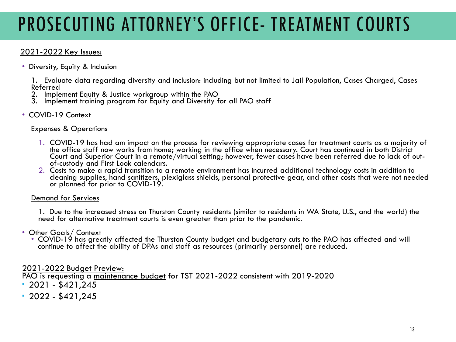# PROSECUTING ATTORNEY'S OFFICE- TREATMENT COURTS

### 2021-2022 Key Issues:

• Diversity, Equity & Inclusion

1. Evaluate data regarding diversity and inclusion: including but not limited to Jail Population, Cases Charged, Cases Referred

- 2. Implement Equity & Justice workgroup within the PAO
- 3. Implement training program for Equity and Diversity for all PAO staff
- COVID-19 Context

#### Expenses & Operations

- 1. COVID-19 has had am impact on the process for reviewing appropriate cases for treatment courts as a majority of the office staff now works from home; working in the office when necessary. Court has continued in both District Court and Superior Court in a remote/virtual setting; however, fewer cases have been referred due to lack of out- of-custody and First Look calendars.
- 2. Costs to make a rapid transition to a remote environment has incurred additional technology costs in addition to cleaning supplies, hand sanitizers, plexiglass shields, personal protective gear, and other costs that were not needed or planned for prior to COVID-19.

#### Demand for Services

1. Due to the increased stress on Thurston County residents (similar to residents in WA State, U.S., and the world) the need for alternative treatment courts is even greater than prior to the pandemic.

#### • Other Goals/ Context

• COVID-19 has greatly affected the Thurston County budget and budgetary cuts to the PAO has affected and will continue to affect the ability of DPAs and staff as resources (primarily personnel) are reduced.

#### 2021-2022 Budget Preview:

PAO is requesting a maintenance budget for TST 2021-2022 consistent with 2019-2020

- $-2021 $421.245$
- $-2022 $421,245$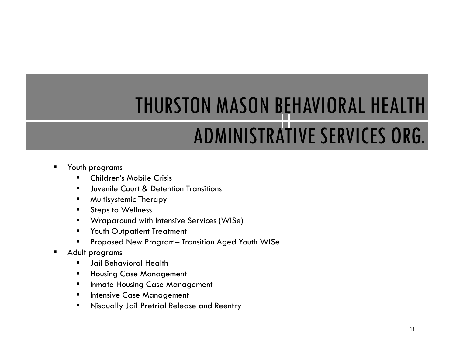# THURSTON MASON BEHAVIORAL HEALTH ADMINISTRATIVE SERVICES ORG.

- Youth programs
	- Children's Mobile Crisis
	- Juvenile Court & Detention Transitions
	- **Nultisystemic Therapy**
	- **Steps to Wellness**
	- Wraparound with Intensive Services (WISe)
	- **The Vouth Outpatient Treatment**
	- Proposed New Program– Transition Aged Youth WISe
- Adult programs
	- **F** Jail Behavioral Health
	- **Housing Case Management**
	- **Inmate Housing Case Management**
	- **Intensive Case Management**
	- **Nisqually Jail Pretrial Release and Reentry**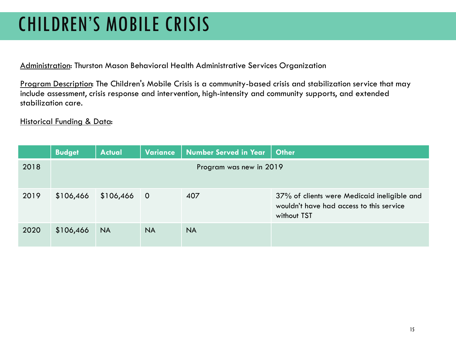## CHILDREN'S MOBILE CRISIS

Administration: Thurston Mason Behavioral Health Administrative Services Organization

Program Description: The Children's Mobile Crisis is a community-based crisis and stabilization service that may include assessment, crisis response and intervention, high-intensity and community supports, and extended stabilization care.

|      | <b>Budget</b> | <b>Actual</b> | Variance       | <b>Number Served in Year</b> | <b>Other</b>                                                                                           |
|------|---------------|---------------|----------------|------------------------------|--------------------------------------------------------------------------------------------------------|
| 2018 |               |               |                | Program was new in 2019      |                                                                                                        |
| 2019 | \$106,466     | \$106,466     | $\overline{O}$ | 407                          | 37% of clients were Medicaid ineligible and<br>wouldn't have had access to this service<br>without TST |
| 2020 | \$106,466     | <b>NA</b>     | <b>NA</b>      | <b>NA</b>                    |                                                                                                        |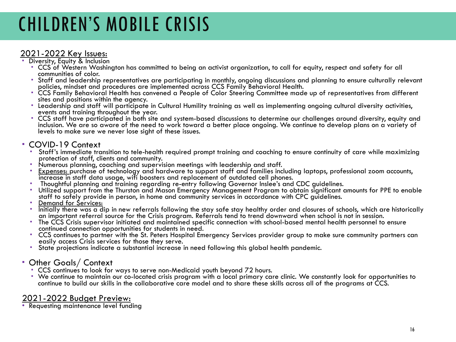## CHILDREN'S MOBILE CRISIS

### 2021-2022 Key Issues: Diversity, Equity & Inclusion

- CCS of Western Washington has committed to being an activist organization, to call for equity, respect and safety for all
- Staff and leadership representatives are participating in monthly, ongoing discussions and planning to ensure culturally relevant<br>policies, mindset and procedures are implemented across CCS Family Behavioral Health.
- policies, mindset and procedures are implemented across CCS Family Behavioral Health. CCS Family Behavioral Health has convened a People of Color Steering Committee made up of representatives from different
- the adership and staff will participate in Cultural Humility training as well as implementing ongoing cultural diversity activities,<br>events and training throughout the year.
- CCS staff have participated in both site and system-based discussions to determine our challenges around diversity, equity and inclusion. We are so aware of the need to work toward a better place ongoing. We continue to develop plans on a variety of levels to make sure we never lose sight of these issues.

- COVID-19 Context<br>• Staff's immediate transition to tele-health required prompt training and coaching to ensure continuity of care while maximizing<br>protection of staff, clients and community.
	-
	- Numerous planning, coaching and supervision meetings with leadership and staff.<br>• <u>Expenses:</u> purchase of technology and hardware to support staff and families including laptops, professional zoom accounts,<br>increase in s
	-
	- " Thoughtful planning and training regarding re-entry following Governor Inslee's and CDC guidelines.<br>" Utilized support from the Thurston and Mason Emergency Management Program to obtain significant amounts for PPE to ena
	-
	- Pemand for Services:<br>Post initially there was a dip in new referrals following the stay safe stay healthy order and closures of schools, which are historically<br>Post initially there was a dip in new referrals following the
	- The CCS Crisis supervisor initiated and maintained specific connection with school-based mental health personnel to ensure continued connection opportunities for students in need.
	- CCS continues to partner with the St. Peters Hospital Emergency Services provider group to make sure community partners can<br>easily access Crisis services for those they serve.
	- State projections indicate a substantial increase in need following this global health pandemic.
- 
- Other Goals/ Context<br>• CCS continues to look for ways to serve non-Medicaid youth beyond 72 hours.
	- CCCS ways to maintain our co-located crisis program with a local primary care clinic. We constantly look for opportunities to continue to build our skills in the collaborative care model and to share these skills across all of the programs at CCS.

### 2021-2022 Budget Preview:<br>• Requesting maintenance level funding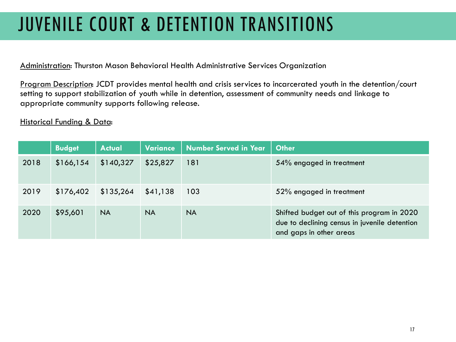# JUVENILE COURT & DETENTION TRANSITIONS

Administration: Thurston Mason Behavioral Health Administrative Services Organization

Program Description: JCDT provides mental health and crisis services to incarcerated youth in the detention/court setting to support stabilization of youth while in detention, assessment of community needs and linkage to appropriate community supports following release.

|      | <b>Budget</b> | <b>Actual</b> | Variance  | <b>Number Served in Year</b> | <b>Other</b>                                                                                                           |
|------|---------------|---------------|-----------|------------------------------|------------------------------------------------------------------------------------------------------------------------|
| 2018 | \$166,154     | \$140,327     | \$25,827  | 181                          | 54% engaged in treatment                                                                                               |
| 2019 | \$176,402     | \$135,264     | \$41,138  | 103                          | 52% engaged in treatment                                                                                               |
| 2020 | \$95,601      | <b>NA</b>     | <b>NA</b> | <b>NA</b>                    | Shifted budget out of this program in 2020<br>due to declining census in juvenile detention<br>and gaps in other areas |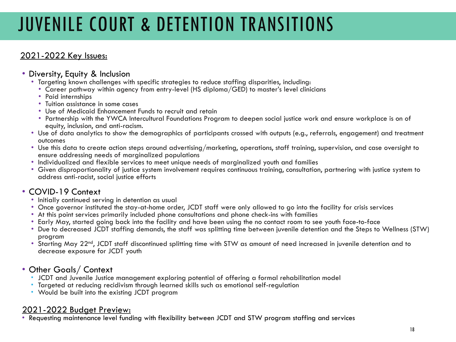# JUVENILE COURT & DETENTION TRANSITIONS

### 2021-2022 Key Issues:

### • Diversity, Equity & Inclusion

- Targeting known challenges with specific strategies to reduce staffing disparities, including:
	- Career pathway within agency from entry-level (HS diploma/GED) to master's level clinicians Paid internships
	-
	- Tuition assistance in some cases
	- Use of Medicaid Enhancement Funds to recruit and retain
	- Partnership with the YWCA Intercultural Foundations Program to deepen social justice work and ensure workplace is on of
- Use of data analytics to show the demographics of participants crossed with outputs (e.g., referrals, engagement) and treatment outcomes
- Use this data to create action steps around advertising/marketing, operations, staff training, supervision, and case oversight to ensure addressing needs of marginalized populations
- Individualized and flexible services to meet unique needs of marginalized youth and families
- Given disproportionality of justice system involvement requires continuous training, consultation, partnering with justice system to address anti-racist, social justice efforts

- 
- COVID-19 Context<br>• Initially continued serving in detention as usual<br>• Once governor instituted the stay-at-home order, JCDT staff were only allowed to go into the facility for crisis services
	-
	- At this point services primarily included phone consultations and phone check-ins with families<br>• Early May, started going back into the facility and have been using the no contact room to see youth face-to-face<br>• Due to
	- program
	- Starting May 22<sup>nd</sup>, JCDT staff discontinued splitting time with STW as amount of need increased in juvenile detention and to decrease exposure for JCDT youth

### • Other Goals/ Context

- JCDT and Juvenile Justice management exploring potential of offering a formal rehabilitation model
- Targeted at reducing recidivism through learned skills such as emotional self-regulation Would be built into the existing JCDT program
- 

2021-2022 Budget Preview:<br>• Requesting maintenance level funding with flexibility between JCDT and STW program staffing and services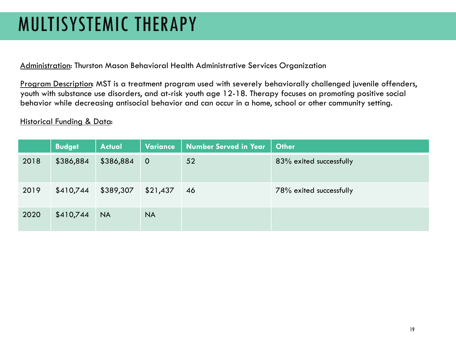## MULTISYSTEMIC THERAPY

Administration: Thurston Mason Behavioral Health Administrative Services Organization

Program Description: MST is a treatment program used with severely behaviorally challenged juvenile offenders, youth with substance use disorders, and at-risk youth age 12-18. Therapy focuses on promoting positive social behavior while decreasing antisocial behavior and can occur in a home, school or other community setting.

|      | <b>Budget</b> | <b>Actual</b> | Variance       | Number Served in Year | <b>Other</b>            |
|------|---------------|---------------|----------------|-----------------------|-------------------------|
| 2018 | \$386,884     | \$386,884     | $\overline{0}$ | 52                    | 83% exited successfully |
| 2019 | \$410,744     | \$389,307     | \$21,437       | 46                    | 78% exited successfully |
| 2020 | \$410,744     | <b>NA</b>     | <b>NA</b>      |                       |                         |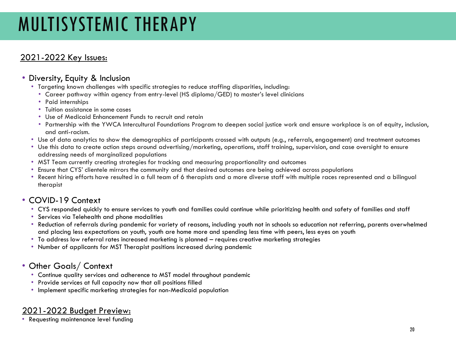## MULTISYSTEMIC THERAPY

### 2021-2022 Key Issues:

#### • Diversity, Equity & Inclusion

- Targeting known challenges with specific strategies to reduce staffing disparities, including:
	- Career pathway within agency from entry-level (HS diploma/GED) to master's level clinicians
	- Paid internships
	- Tuition assistance in some cases
	- Use of Medicaid Enhancement Funds to recruit and retain
	- Partnership with the YWCA Intercultural Foundations Program to deepen social justice work and ensure workplace is on of equity, inclusion, and anti-racism.
- Use of data analytics to show the demographics of participants crossed with outputs (e.g., referrals, engagement) and treatment outcomes
- Use this data to create action steps around advertising/marketing, operations, staff training, supervision, and case oversight to ensure addressing needs of marginalized populations
- MST Team currently creating strategies for tracking and measuring proportionality and outcomes
- Ensure that CYS' clientele mirrors the community and that desired outcomes are being achieved across populations
- Recent hiring efforts have resulted in a full team of 6 therapists and a more diverse staff with multiple races represented and a bilingual therapist

### • COVID-19 Context

- CYS responded quickly to ensure services to youth and families could continue while prioritizing health and safety of families and staff
- Services via Telehealth and phone modalities
- Reduction of referrals during pandemic for variety of reasons, including youth not in schools so education not referring, parents overwhelmed and placing less expectations on youth, youth are home more and spending less time with peers, less eyes on youth
- To address low referral rates increased marketing is planned requires creative marketing strategies
- Number of applicants for MST Therapist positions increased during pandemic

### • Other Goals/ Context

- Continue quality services and adherence to MST model throughout pandemic
- Provide services at full capacity now that all positions filled
- Implement specific marketing strategies for non-Medicaid population

### 2021-2022 Budget Preview:

• Requesting maintenance level funding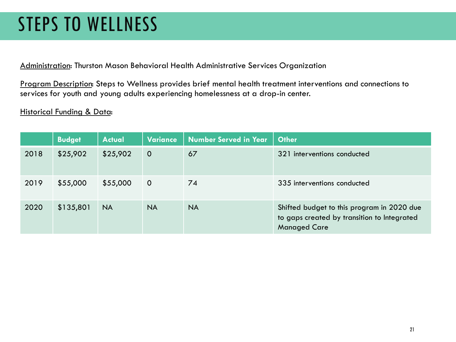## STEPS TO WELLNESS

Administration: Thurston Mason Behavioral Health Administrative Services Organization

Program Description: Steps to Wellness provides brief mental health treatment interventions and connections to services for youth and young adults experiencing homelessness at a drop-in center.

|      | <b>Budget</b> | <b>Actual</b> | Variance    | Number Served in Year | <b>Other</b>                                                                                                     |
|------|---------------|---------------|-------------|-----------------------|------------------------------------------------------------------------------------------------------------------|
| 2018 | \$25,902      | \$25,902      | $\Omega$    | 67                    | 321 interventions conducted                                                                                      |
| 2019 | \$55,000      | \$55,000      | $\mathbf 0$ | 74                    | 335 interventions conducted                                                                                      |
| 2020 | \$135,801     | <b>NA</b>     | <b>NA</b>   | <b>NA</b>             | Shifted budget to this program in 2020 due<br>to gaps created by transition to Integrated<br><b>Managed Care</b> |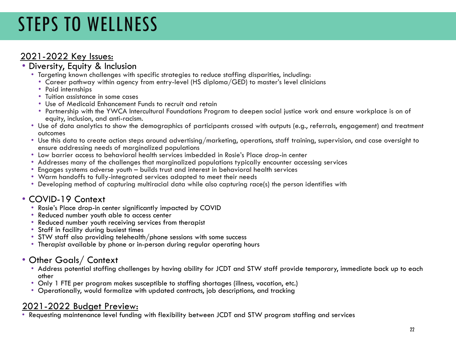# STEPS TO WELLNESS

## 2021-2022 Key Issues: • Diversity, Equity & Inclusion

- Targeting known challenges with specific strategies to reduce staffing disparities, including:
	- Career pathway within agency from entry-level (HS diploma/GED) to master's level clinicians Paid internships
	-
	- Tuition assistance in some cases
	- Use of Medicaid Enhancement Funds to recruit and retain
	- Partnership with the YWCA Intercultural Foundations Program to deepen social justice work and ensure workplace is on of
- Use of data analytics to show the demographics of participants crossed with outputs (e.g., referrals, engagement) and treatment outcomes
- Use this data to create action steps around advertising/marketing, operations, staff training, supervision, and case oversight to ensure addressing needs of marginalized populations
- 
- Addresses many of the challenges that marginalized populations typically encounter accessing services Andre<br>• Engages systems adverse youth builds trust and interest in behavioral health services
- 
- 
- Warm handoffs to fully-integrated services adapted to meet their needs<br>• Developing method of capturing multiracial data while also capturing race(s) the person identifies with

- COVID-19 Context Rosie's Place drop-in center significantly impacted by COVID Reduced number youth able to access center
	-
	- Reduced number youth receiving services from therapist
	- Staff in facility during busiest times
	- STW staff also providing telehealth/phone sessions with some success
	- Therapist available by phone or in-person during regular operating hours

### • Other Goals/ Context

- Address potential staffing challenges by having ability for JCDT and STW staff provide temporary, immediate back up to each other
- Only 1 FTE per program makes susceptible to staffing shortages (illness, vacation, etc.)
- Operationally, would formalize with updated contracts, job descriptions, and tracking

2021-2022 Budget Preview:<br>• Requesting maintenance level funding with flexibility between JCDT and STW program staffing and services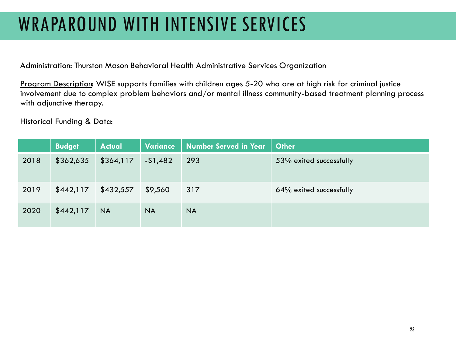## WRAPAROUND WITH INTENSIVE SERVICES

Administration: Thurston Mason Behavioral Health Administrative Services Organization

Program Description: WISE supports families with children ages 5-20 who are at high risk for criminal justice involvement due to complex problem behaviors and/or mental illness community-based treatment planning process with adjunctive therapy.

|      | <b>Budget</b> | <b>Actual</b> | Variance  | <b>Number Served in Year</b> | <b>Other</b>            |
|------|---------------|---------------|-----------|------------------------------|-------------------------|
| 2018 | \$362,635     | \$364,117     | $-1,482$  | 293                          | 53% exited successfully |
| 2019 | \$442,117     | \$432,557     | \$9,560   | 317                          | 64% exited successfully |
| 2020 | \$442,117     | <b>NA</b>     | <b>NA</b> | <b>NA</b>                    |                         |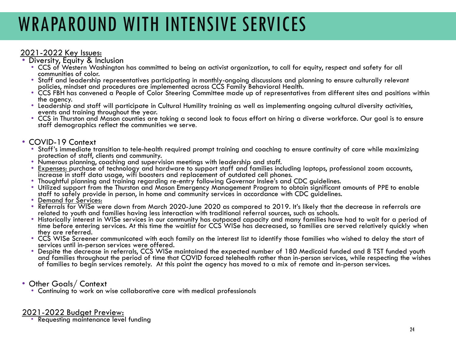## WRAPAROUND WITH INTENSIVE SERVICES

### 2021-2022 Key Issues:<br>• Diversity, Equity & Inclusion

- - CCS of Western Washington has committed to being an activist organization, to call for equity, respect and safety for all
	- Staff and leadership representatives participating in monthly-ongoing discussions and planning to ensure culturally relevant<br>policies, mindset and procedures are implemented across CCS Family Behavioral Health.
	- Policies, Mindset and procedures are implemented a People of Color Steering Committee made up of representatives from different sites and positions within the agency.
	- Leadership and staff will participate in Cultural Humility training as well as implementing ongoing cultural diversity activities,<br>events and training throughout the year.
	- CCS in Thurston and Mason counties are taking a second look to focus effort on hiring a diverse workforce. Our goal is to ensure staff demographics reflect the communities we serve.

- COVID-19 Context<br>• Staff's immediate transition to tele-health required prompt training and coaching to ensure continuity of care while maximizing<br>protection of staff, clients and community.
	-
	- protection of staff, clients and community.<br>• Numerous planning, coaching and supervision meetings with leadership and staff.<br>• <u>Expenses: p</u>urchase of technology and hardware to support staff and families including laptop
	-
	- increase in staff data usage, wifi boosters and replacement of outdated cell phones.<br>• Thoughtful planning and training regarding re-entry following Governor Inslee's and CDC guidelines.<br>• Utilized support from the Thursto
	-
	- staff to safely provide in person, in home and community services in accordance with CDC guidelines.<br>• <u>Demand for Services:</u><br>• Referrals for WISe were down from March 2020-June 2020 as compared to 2019. It's likely that t
	- Historically interest in WISe services in our community has outpaced capacity and many families have had to wait for a period of time before entering services. At this time the waitlist for CCS WISe has decreased, so families are served relatively quickly when<br>they are referred.
	- CCS WISe Screener communicated with each family on the interest list to identify those families who wished to delay the start of<br>services until in-person services were offered.
	- Despite the decrease in referrals, CCS WISe maintained the expected number of 180 Medicaid funded and 8 TST funded youth and families throughout the period of time that COVID forced telehealth rather than in-person services, while respecting the wishes of families to begin services remotely. At this point the agency has moved to a mix of remote and in-person services.

#### • Other Goals/ Context

• Continuing to work on wise collaborative care with medical professionals

### 2021-2022 Budget Preview: Requesting maintenance level funding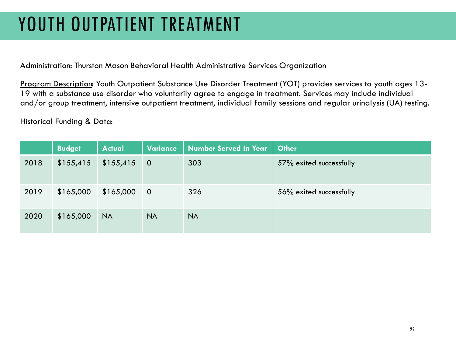## YOUTH OUTPATIENT TREATMENT

Administration: Thurston Mason Behavioral Health Administrative Services Organization

Program Description: Youth Outpatient Substance Use Disorder Treatment (YOT) provides services to youth ages 13- 19 with a substance use disorder who voluntarily agree to engage in treatment. Services may include individual and/or group treatment, intensive outpatient treatment, individual family sessions and regular urinalysis (UA) testing.

|      | <b>Budget</b> | <b>Actual</b> | Variance       | Number Served in Year | <b>Other</b>            |
|------|---------------|---------------|----------------|-----------------------|-------------------------|
| 2018 | \$155,415     | \$155,415     | $\overline{0}$ | 303                   | 57% exited successfully |
| 2019 | \$165,000     | \$165,000     | $\overline{0}$ | 326                   | 56% exited successfully |
| 2020 | \$165,000     | <b>NA</b>     | <b>NA</b>      | <b>NA</b>             |                         |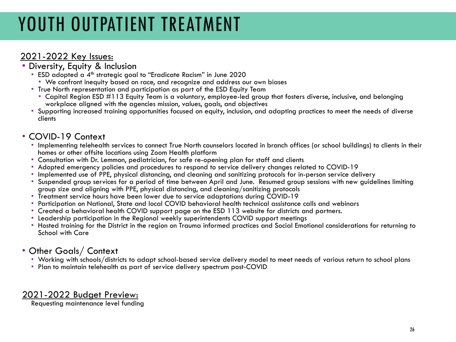# YOUTH OUTPATIENT TREATMENT

- 
- 2021-2022 Key Issues:<br>• Diversity, Equity & Inclusion<br>• ESD adopted a 4<sup>th</sup> strategic goal to "Eradicate Racism" in June 2020
	- We confront inequity based on race, and recognize and address our own biases<br>• True North representation and participation as part of the ESD Equity Team
	-
	- Capital Region ESD #113 Equity Team is a voluntary, employee-led group that fosters diverse, inclusive, and belonging workplace aligned with the agencies mission, values, goals, and objectives
	- Supporting increased training opportunities focused on equity, inclusion, and adapting practices to meet the needs of diverse clients

- COVID-19 Context<br>• Implementing telehealth services to connect True North counselors located in branch offices (or school buildings) to clients in their homes or other offsite locations using Zoom Health platform
	-
	-
	- Adopted emergency policies and procedures to respond to service delivery changes related to COVID-19<br>• Implemented use of PPE, physical distancing, and cleaning and sanitizing protocols for in-person service delivery<br>• S
	-
	- group size and aligning with PPE, physical distancing, and cleaning/sanitizing protocols
	- Participation on National, State and local COVID-behavioral health technical assistance calls and webinars
	- Created a behavioral health COVID support page on the ESD 113 website for districts and partners.
	- Leadership participation in the Regional weekly superintendents COVID support meetings
	- Hosted training for the District in the region on Trauma informed practices and Social Emotional considerations for returning to School with Care

### • Other Goals/ Context

- Working with schools/districts to adapt school-based service delivery model to meet needs of various return to school plans<br>• Plan to maintain telehealth as part of service delivery spectrum post-COVID
- 

### 2021-2022 Budget Preview:

Requesting maintenance level funding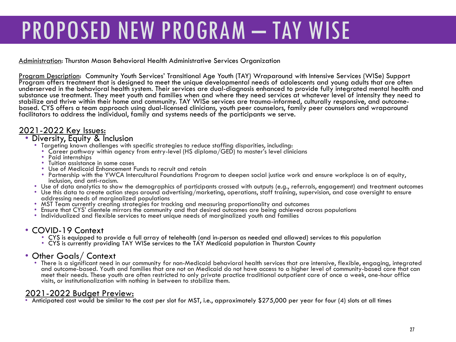# PROPOSED NEW PROGRAM – TAY WISE

Administration: Thurston Mason Behavioral Health Administrative Services Organization

<u>Program Description</u>: Community Youth Services' Transitional Age Youth (TAY) Wraparound with Intensive Services (WISe) Support<br>Program offers treatment that is designed to meet the unique developmental needs of adolescent underserved in the behavioral health system. Their services are dual-diagnosis enhanced to provide fully integrated mental health and substance use treatment. They meet youth and families when and where they need services at whatever level of intensity they need to<br>stabilize and thrive within their home and community. TAY WISe services are trauma-informe based. CYS offers a team approach using dual-licensed clinicians, youth peer counselors, family peer counselors and wraparound facilitators to address the individual, family and systems needs of the participants we serve.

### 2021-2022 Key Issues: • Diversity, Equity & Inclusion

- Targeting known challenges with specific strategies to reduce staffing disparities, including:<br>• Career pathway within agency from entry-level (HS diploma/GED) to master's level clinicians
	-
	-
	-
	-
	- Paid internships<br>• Tuition assistance in some cases<br>• Use of Medicaid Enhancement Funds to recruit and retain<br>• Partnership with the YWCA Intercultural Foundations Program to deepen social justice work and ensure workpla
- 
- Use of data analytics to show the demographics of participants crossed with outputs (e.g., referrals, engagement) and treatment outcomes<br>• Use this data to create action steps around advertising/marketing, operations, st
- 
- MST Team currently creating strategies for tracking and measuring proportionality and outcomes<br>• Ensure that CYS' clientele mirrors the community and that desired outcomes are being achieved across populations<br>• Individu
- 

- COVID-19 Context<br>• CYS is equipped to provide a full array of telehealth (and in-person as needed and allowed) services to this population<br>• CYS is currently providing TAY WISe services to the TAY Medicaid population in
	-

#### • Other Goals/ Context

• There is a significant need in our community for non-Medicaid behavioral health services that are intensive, flexible, engaging, integrated and outcome-based. Youth and families that are not on Medicaid do not have access to a higher level of community-based care that can meet their needs. These youth are often restricted to only private practice traditional outpatient care of once a week, one-hour office visits, or institutionalization with nothing in between to stabilize them.

2021-2022 Budget Preview:<br>• Anticipated cost would be similar to the cost per slot for MST, i.e., approximately \$275,000 per year for four (4) slots at all times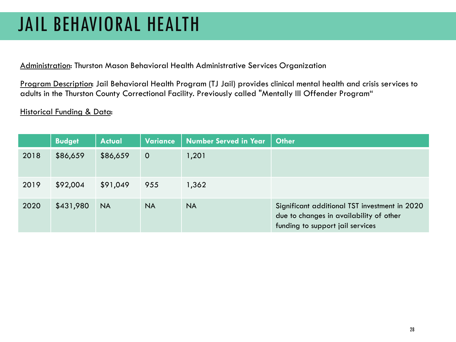## JAIL BEHAVIORAL HEALTH

Administration: Thurston Mason Behavioral Health Administrative Services Organization

Program Description: Jail Behavioral Health Program (TJ Jail) provides clinical mental health and crisis services to adults in the Thurston County Correctional Facility. Previously called "Mentally Ill Offender Program"

|      | <b>Budget</b> | <b>Actual</b> | <b>Variance</b> | <b>Number Served in Year</b> | <b>Other</b>                                                                                                                 |
|------|---------------|---------------|-----------------|------------------------------|------------------------------------------------------------------------------------------------------------------------------|
| 2018 | \$86,659      | \$86,659      | $\overline{O}$  | 1,201                        |                                                                                                                              |
| 2019 | \$92,004      | \$91,049      | 955             | 1,362                        |                                                                                                                              |
| 2020 | \$431,980     | <b>NA</b>     | <b>NA</b>       | <b>NA</b>                    | Significant additional TST investment in 2020<br>due to changes in availability of other<br>funding to support jail services |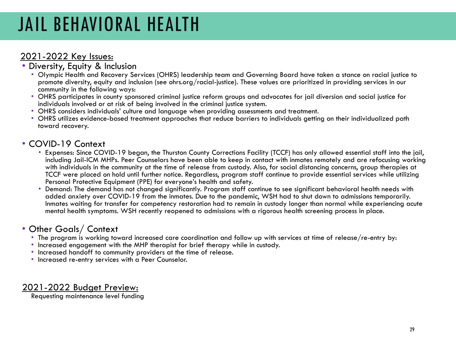## JAIL BEHAVIORAL HEALTH

- 2021-2022 Key Issues: Diversity, Equity & Inclusion
	- Olympic Health and Recovery Services (OHRS) leadership team and Governing Board have taken a stance on racial justice to promote diversity, equity and inclusion (see ohrs.org/racial-justice). These values are prioritized in providing services in our community in the following ways:
	- OHRS participates in county sponsored criminal justice reform groups and advocates for jail diversion and social justice for individuals involved or at risk of being involved in the criminal justice system.
	- OHRS considers individuals' culture and language when providing assessments and treatment.
	- OHRS utilizes evidence-based treatment approaches that reduce barriers to individuals getting on their individualized path toward recovery.

- COVID-19 Context<br>• Expenses: Since COVID-19 began, the Thurston County Corrections Facility (TCCF) has only allowed essential staff into the jail, including Jail-ICM MHPs. Peer Counselors have been able to keep in contact with inmates remotely and are refocusing working with individuals in the community at the time of release from custody. Also, for social distancing concerns, group therapies at TCCF were placed on hold until further notice. Regardless, program staff continue to provide essential services while utilizing Personal Protective Equipment (PPE) for everyone's health and safety.
	- Demand: The demand has not changed significantly. Program staff continue to see significant behavioral health needs with added anxiety over COVID-19 from the inmates. Due to the pandemic, WSH had to shut down to admissions temporarily. Inmates waiting for transfer for competency restoration had to remain in custody longer than normal while experiencing acute mental health symptoms. WSH recently reopened to admissions with a rigorous health screening process in place.

### • Other Goals/ Context

- The program is working toward increased care coordination and follow up with services at time of release/re-entry by:<br>• Increased engagement with the MHP therapist for brief therapy while in custody.
- 
- Increased handoff to community providers at the time of release.
- Increased re-entry services with a Peer Counselor.

### 2021-2022 Budget Preview:

Requesting maintenance level funding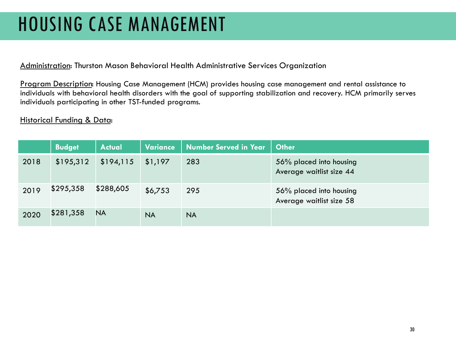## HOUSING CASE MANAGEMENT

Administration: Thurston Mason Behavioral Health Administrative Services Organization

Program Description: Housing Case Management (HCM) provides housing case management and rental assistance to individuals with behavioral health disorders with the goal of supporting stabilization and recovery. HCM primarily serves individuals participating in other TST-funded programs.

|      | <b>Budget</b> | <b>Actual</b> | Variance  | <b>Number Served in Year</b> | <b>Other</b>                                        |
|------|---------------|---------------|-----------|------------------------------|-----------------------------------------------------|
| 2018 | \$195,312     | \$194,115     | \$1,197   | 283                          | 56% placed into housing<br>Average waitlist size 44 |
| 2019 | \$295,358     | \$288,605     | \$6,753   | 295                          | 56% placed into housing<br>Average waitlist size 58 |
| 2020 | \$281,358     | <b>NA</b>     | <b>NA</b> | <b>NA</b>                    |                                                     |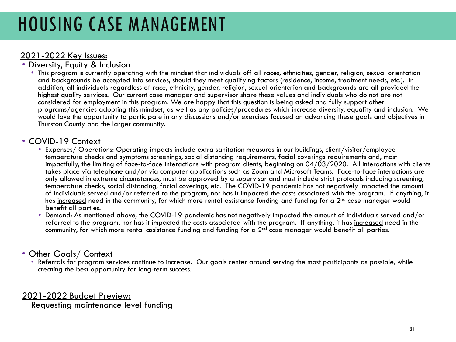## HOUSING CASE MANAGEMENT

- 2021-2022 Key Issues:<br>• Diversity, Equity & Inclusion
	- This program is currently operating with the mindset that individuals off all races, ethnicities, gender, religion, sexual orientation and backgrounds be accepted into services, should they meet qualifying factors (residence, income, treatment needs, etc.). In addition, all individuals regardless of race, ethnicity, gender, religion, sexual orientation and backgrounds are all provided the highest quality services. Our current case manager and supervisor share these values and individuals who do not are not considered for employment in this program. We are happy that this question is being asked and fully support other programs/agencies adopting this mindset, as well as any policies/procedures which increase diversity, equality and inclusion. We would love the opportunity to participate in any discussions and/or exercises focused on advancing these goals and objectives in Thurston County and the larger community.

- COVID-19 Context Expenses/ Operations: Operating impacts include extra sanitation measures in our buildings, client/visitor/employee temperature checks and symptoms screenings, social distancing requirements, facial coverings requirements and, most impactfully, the limiting of face-to-face interactions with program clients, beginning on 04/03/2020. All interactions with clients takes place via telephone and/or via computer applications such as Zoom and Microsoft Teams. Face-to-face interactions are only allowed in extreme circumstances, must be approved by a supervisor and must include strict protocols including screening,<br>temperature checks, social distancing, facial coverings, etc. The COVID-19 pandemic has not neg of individuals served and/or referred to the program, nor has it impacted the costs associated with the program. If anything, it has increased need in the community, for which more rental assistance funding and funding for a 2<sup>nd</sup> case manager would benefit all parties.
	- Demand: As mentioned above, the COVID-19 pandemic has not negatively impacted the amount of individuals served and/or referred to the program, nor has it impacted the costs associated with the program. If anything, it has increased need in the community, for which more rental assistance funding and funding for a  $2<sup>nd</sup>$  case manager would benefit all parties.

### • Other Goals/ Context

• Referrals for program services continue to increase. Our goals center around serving the most participants as possible, while creating the best opportunity for long-term success.

2021-2022 Budget Preview:

Requesting maintenance level funding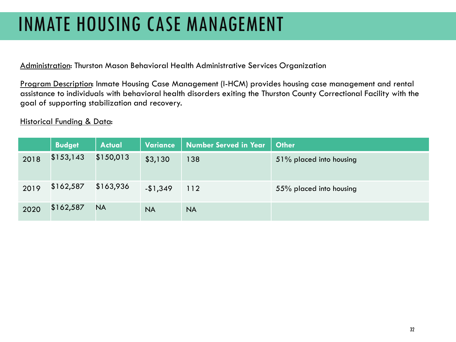## INMATE HOUSING CASE MANAGEMENT

Administration: Thurston Mason Behavioral Health Administrative Services Organization

Program Description: Inmate Housing Case Management (I-HCM) provides housing case management and rental assistance to individuals with behavioral health disorders exiting the Thurston County Correctional Facility with the goal of supporting stabilization and recovery.

|      | <b>Budget</b> | <b>Actual</b> | Variance  | <b>Number Served in Year</b> | <b>Other</b>            |
|------|---------------|---------------|-----------|------------------------------|-------------------------|
| 2018 | \$153,143     | \$150,013     | \$3,130   | 138                          | 51% placed into housing |
| 2019 | \$162,587     | \$163,936     | $-1,349$  | 112                          | 55% placed into housing |
| 2020 | \$162,587     | <b>NA</b>     | <b>NA</b> | <b>NA</b>                    |                         |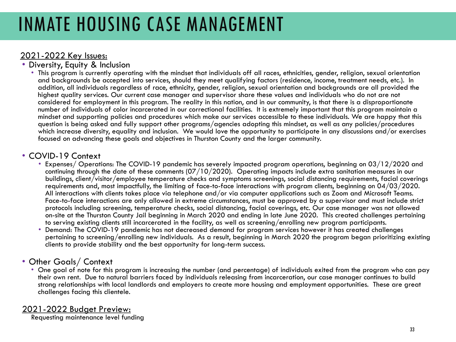## INMATE HOUSING CASE MANAGEMENT

- 2021-2022 Key Issues:<br>• Diversity, Equity & Inclusion
	- This program is currently operating with the mindset that individuals off all races, ethnicities, gender, religion, sexual orientation and backgrounds be accepted into services, should they meet qualifying factors (residence, income, treatment needs, etc.). In addition, all individuals regardless of race, ethnicity, gender, religion, sexual orientation and backgrounds are all provided the highest quality services. Our current case manager and supervisor share these values and individuals who do not are not considered for employment in this program. The reality in this nation, and in our community, is that there is a disproportionate number of individuals of color incarcerated in our correctional facilities. It is extremely important that this program maintain a mindset and supporting policies and procedures which make our services accessible to these individuals. We are happy that this question is being asked and fully support other programs/agencies adopting this mindset, as well as any policies/procedures which increase diversity, equality and inclusion. We would love the opportunity to participate in any discussions and/or exercises focused on advancing these goals and objectives in Thurston County and the larger community.

- COVID-19 Context Expenses/ Operations: The COVID-19 pandemic has severely impacted program operations, beginning on 03/12/2020 and continuing through the date of these comments (07/10/2020). Operating impacts include extra sanitation measures in our buildings, client/visitor/employee temperature checks and symptoms screenings, social distancing requirements, facial coverings requirements and, most impactfully, the limiting of face-to-face interactions with program clients, beginning on 04/03/2020. All interactions with clients takes place via telephone and/or via computer applications such as Zoom and Microsoft Teams. Face-to-face interactions are only allowed in extreme circumstances, must be approved by a supervisor and must include strict protocols including screening, temperature checks, social distancing, facial coverings, etc. Our case manager was not allowed on-site at the Thurston County Jail beginning in March 2020 and ending in late June 2020. This created challenges pertaining to serving existing clients still incarcerated in the facility, as well as screening/enrolling new program participants.
	- Demand: The COVID-19 pandemic has not decreased demand for program services however it has created challenges pertaining to screening/enrolling new individuals. As a result, beginning in March 2020 the program began prioritizing existing clients to provide stability and the best opportunity for long-term success.

#### • Other Goals/ Context

• One goal of note for this program is increasing the number (and percentage) of individuals exited from the program who can pay their own rent. Due to natural barriers faced by individuals releasing from incarceration, our case manager continues to build strong relationships with local landlords and employers to create more housing and employment opportunities. These are great challenges facing this clientele.

#### 2021-2022 Budget Preview:

Requesting maintenance level funding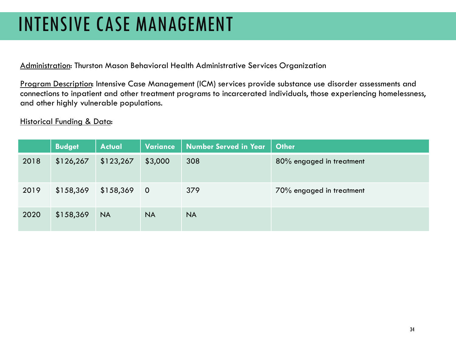## INTENSIVE CASE MANAGEMENT

Administration: Thurston Mason Behavioral Health Administrative Services Organization

Program Description: Intensive Case Management (ICM) services provide substance use disorder assessments and connections to inpatient and other treatment programs to incarcerated individuals, those experiencing homelessness, and other highly vulnerable populations.

|      | <b>Budget</b> | <b>Actual</b> | Variance       | <b>Number Served in Year</b> | <b>Other</b>             |
|------|---------------|---------------|----------------|------------------------------|--------------------------|
| 2018 | \$126,267     | \$123,267     | \$3,000        | 308                          | 80% engaged in treatment |
| 2019 | \$158,369     | \$158,369     | $\overline{0}$ | 379                          | 70% engaged in treatment |
| 2020 | \$158,369     | <b>NA</b>     | <b>NA</b>      | <b>NA</b>                    |                          |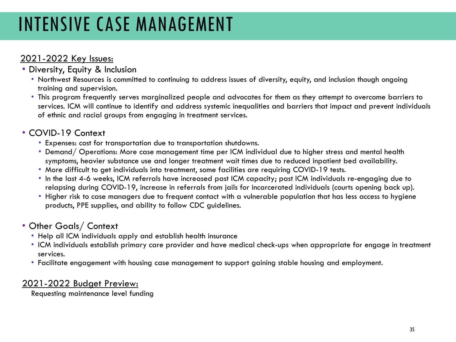## INTENSIVE CASE MANAGEMENT

### 2021-2022 Key Issues:

- Diversity, Equity & Inclusion
	- Northwest Resources is committed to continuing to address issues of diversity, equity, and inclusion though ongoing training and supervision.
	- This program frequently serves marginalized people and advocates for them as they attempt to overcome barriers to services. ICM will continue to identify and address systemic inequalities and barriers that impact and prevent individuals of ethnic and racial groups from engaging in treatment services.

### • COVID-19 Context

- Expenses: cost for transportation due to transportation shutdowns.
- Demand/ Operations: More case management time per ICM individual due to higher stress and mental health symptoms, heavier substance use and longer treatment wait times due to reduced inpatient bed availability.
- More difficult to get individuals into treatment, some facilities are requiring COVID-19 tests.
- In the last 4-6 weeks, ICM referrals have increased past ICM capacity; past ICM individuals re-engaging due to relapsing during COVID-19, increase in referrals from jails for incarcerated individuals (courts opening back up).
- Higher risk to case managers due to frequent contact with a vulnerable population that has less access to hygiene products, PPE supplies, and ability to follow CDC guidelines.

### • Other Goals/ Context

- Help all ICM individuals apply and establish health insurance
- ICM individuals establish primary care provider and have medical check-ups when appropriate for engage in treatment services.
- Facilitate engagement with housing case management to support gaining stable housing and employment.

#### 2021-2022 Budget Preview:

Requesting maintenance level funding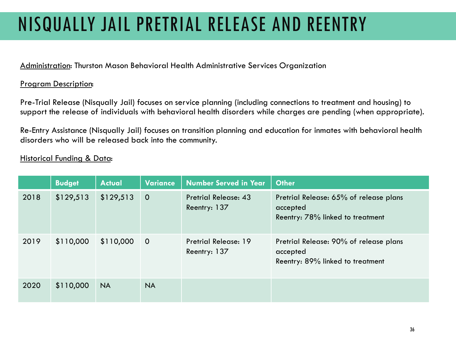# NISQUALLY JAIL PRETRIAL RELEASE AND REENTRY

Administration: Thurston Mason Behavioral Health Administrative Services Organization

#### Program Description:

Pre-Trial Release (Nisqually Jail) focuses on service planning (including connections to treatment and housing) to support the release of individuals with behavioral health disorders while charges are pending (when appropriate).

Re-Entry Assistance (Nisqually Jail) focuses on transition planning and education for inmates with behavioral health disorders who will be released back into the community.

|      | <b>Budget</b> | <b>Actual</b> | <b>Variance</b> | <b>Number Served in Year</b>                | <b>Other</b>                                                                           |
|------|---------------|---------------|-----------------|---------------------------------------------|----------------------------------------------------------------------------------------|
| 2018 | \$129,513     | \$129,513     | $\overline{0}$  | <b>Pretrial Release: 43</b><br>Reentry: 137 | Pretrial Release: 65% of release plans<br>accepted<br>Reentry: 78% linked to treatment |
| 2019 | \$110,000     | \$110,000     | $\overline{0}$  | <b>Pretrial Release: 19</b><br>Reentry: 137 | Pretrial Release: 90% of release plans<br>accepted<br>Reentry: 89% linked to treatment |
| 2020 | \$110,000     | <b>NA</b>     | <b>NA</b>       |                                             |                                                                                        |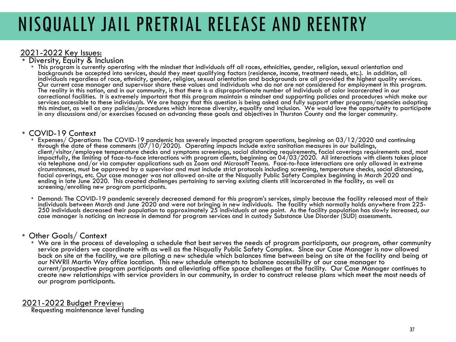# NISQUALLY JAIL PRETRIAL RELEASE AND REENTRY

### 2021-2022 Key Issues: • Diversity, Equity & Inclusion

• This program is currently operating with the mindset that individuals off all races, ethnicities, gender, religion, sexual orientation and backgrounds be accepted into services, should they meet qualifying factors (residence, income, treatment needs, etc.). In addition, all individuals regardless of race, ethnicity, gender, religion, sexual orientation and backgrounds are all provided the highest quality services. Our current case manager and supervisor share these values and individuals who do not are not considered for employment in this program. The reality in this nation, and in our community, is that there is a disproportionate number of individuals of color incarcerated in our correctional facilities. It is extremely important that this program maintain a mindset and supporting policies and procedures which make our<br>services accessible to these individuals. We are happy that this question is bei this mindset, as well as any policies/procedures which increase diversity, equality and inclusion. We would love the opportunity to participate<br>In any discussions and/or exercises focused on advancing these goals and objec

- COVID-19 Context<br>• Expenses/ Operations: The COVID-19 pandemic has severely impacted program operations, beginning on 03/12/2020 and continuing<br>• through the date of these comments (07/10/2020). Operating impacts include client/visitor/employee temperature checks and symptoms screenings, social distancing requirements, facial coverings requirements and, most<br>impactfully, the limiting of face-to-face interactions with program clients, begin via telephone and/or via computer applications such as Zoom and Microsoft Teams. Face-to-face interactions are only allowed in extreme circumstances, must be approved by a supervisor and must include strict protocols including screening, temperature checks, social distancing, facial coverings, etc. Our case manager was not allowed on-site at the Nisqually Public Safety Complex beginning in March 2020 and ending in late June 2020. This created challenges pertaining to serving existing clients still incarcerated in the facility, as well as screening/enrolling new program participants.
	- Demand: The COVID-19 pandemic severely decreased demand for this program's services, simply because the facility released most of their 250 individuals decreased their population to approximately 25 individuals at one point. As the facility population has slowly increased, our case manager is noticing an increase in demand for program services and in custody Substance Use Disorder (SUD) assessments.

#### • Other Goals/ Context

• We are in the process of developing a schedule that best serves the needs of program participants, our program, other community service providers we coordinate with as well as the Nisqually Public Safety Complex. Since our Case Manager is now allowed back on site at the facility, we are piloting a new schedule which balances time between being on site at the facility and being at our NWRII Martin Way office location. This new schedule attempts to balance accessibility of our case manager to current/prospective program participants and alleviating office space challenges at the facility. Our Case Manager continues to create new relationships with service providers in our community, in order to construct release plans which meet the most needs of our program participants.

#### 2021-2022 Budget Preview:

Requesting maintenance level funding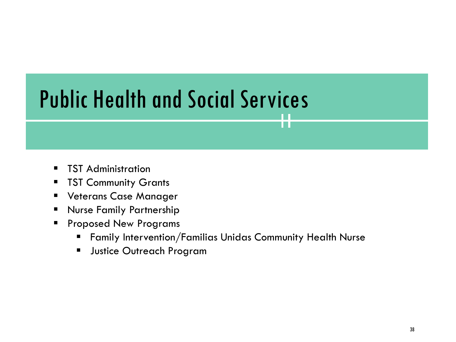# Public Health and Social Services

- **TST Administration**
- **TST Community Grants**
- **Universe** Veterans Case Manager
- **Nurse Family Partnership**
- **Proposed New Programs** 
	- Family Intervention/Familias Unidas Community Health Nurse

H.

**Justice Outreach Program**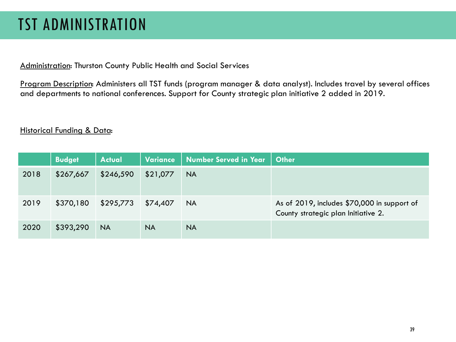### TST ADMINISTRATION

Administration: Thurston County Public Health and Social Services

Program Description: Administers all TST funds (program manager & data analyst). Includes travel by several offices and departments to national conferences. Support for County strategic plan initiative 2 added in 2019.

|      | <b>Budget</b> | <b>Actual</b> | <b>Variance</b> | <b>Number Served in Year</b> | <b>Other</b>                                                                       |
|------|---------------|---------------|-----------------|------------------------------|------------------------------------------------------------------------------------|
| 2018 | \$267,667     | \$246,590     | \$21,077        | <b>NA</b>                    |                                                                                    |
| 2019 | \$370,180     | \$295,773     | \$74,407        | <b>NA</b>                    | As of 2019, includes \$70,000 in support of<br>County strategic plan Initiative 2. |
| 2020 | \$393,290     | <b>NA</b>     | <b>NA</b>       | <b>NA</b>                    |                                                                                    |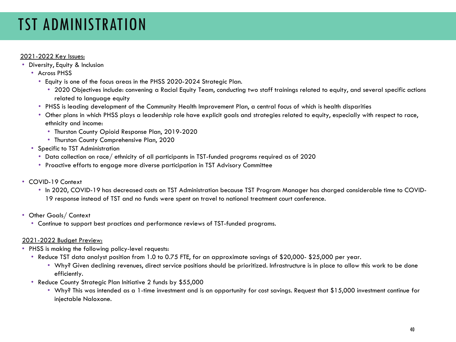### TST ADMINISTRATION

#### 2021-2022 Key Issues:

- Diversity, Equity & Inclusion
	- Across PHSS
		- Equity is one of the focus areas in the PHSS 2020-2024 Strategic Plan.
			- 2020 Objectives include: convening a Racial Equity Team, conducting two staff trainings related to equity, and several specific actions related to language equity
		- PHSS is leading development of the Community Health Improvement Plan, a central focus of which is health disparities
		- Other plans in which PHSS plays a leadership role have explicit goals and strategies related to equity, especially with respect to race, ethnicity and income:
			- Thurston County Opioid Response Plan, 2019-2020
			- Thurston County Comprehensive Plan, 2020
	- Specific to TST Administration
		- Data collection on race/ ethnicity of all participants in TST-funded programs required as of 2020
		- Proactive efforts to engage more diverse participation in TST Advisory Committee
- COVID-19 Context
	- In 2020, COVID-19 has decreased costs on TST Administration because TST Program Manager has charged considerable time to COVID-19 response instead of TST and no funds were spent on travel to national treatment court conference.
- Other Goals/ Context
	- Continue to support best practices and performance reviews of TST-funded programs.

#### 2021-2022 Budget Preview:

- PHSS is making the following policy-level requests:
	- Reduce TST data analyst position from 1.0 to 0.75 FTE, for an approximate savings of \$20,000- \$25,000 per year.
		- Why? Given declining revenues, direct service positions should be prioritized. Infrastructure is in place to allow this work to be done efficiently.
	- Reduce County Strategic Plan Initiative 2 funds by \$55,000
		- Why? This was intended as a 1-time investment and is an opportunity for cost savings. Request that \$15,000 investment continue for injectable Naloxone.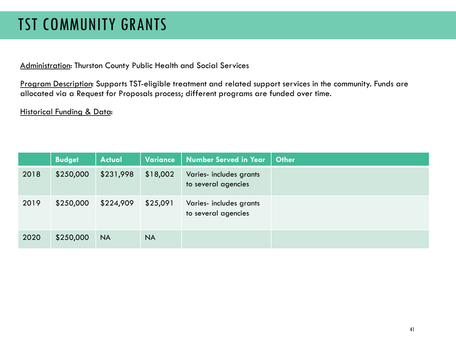### TST COMMUNITY GRANTS

Administration: Thurston County Public Health and Social Services

Program Description: Supports TST-eligible treatment and related support services in the community. Funds are allocated via a Request for Proposals process; different programs are funded over time.

|      | <b>Budget</b> | <b>Actual</b> | Variance  | <b>Number Served in Year</b>                   | <b>Other</b> |
|------|---------------|---------------|-----------|------------------------------------------------|--------------|
| 2018 | \$250,000     | \$231,998     | \$18,002  | Varies- includes grants<br>to several agencies |              |
| 2019 | \$250,000     | \$224,909     | \$25,091  | Varies- includes grants<br>to several agencies |              |
| 2020 | \$250,000     | <b>NA</b>     | <b>NA</b> |                                                |              |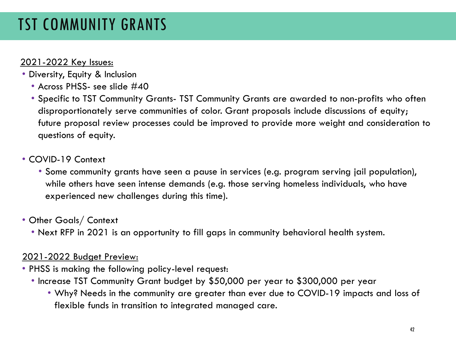### TST COMMUNITY GRANTS

### 2021-2022 Key Issues:

- Diversity, Equity & Inclusion
	- Across PHSS- see slide #40
	- Specific to TST Community Grants- TST Community Grants are awarded to non-profits who often disproportionately serve communities of color. Grant proposals include discussions of equity; future proposal review processes could be improved to provide more weight and consideration to questions of equity.

### • COVID-19 Context

• Some community grants have seen a pause in services (e.g. program serving jail population), while others have seen intense demands (e.g. those serving homeless individuals, who have experienced new challenges during this time).

### • Other Goals/ Context

• Next RFP in 2021 is an opportunity to fill gaps in community behavioral health system.

### 2021-2022 Budget Preview:

- PHSS is making the following policy-level request:
	- Increase TST Community Grant budget by \$50,000 per year to \$300,000 per year
		- Why? Needs in the community are greater than ever due to COVID-19 impacts and loss of flexible funds in transition to integrated managed care.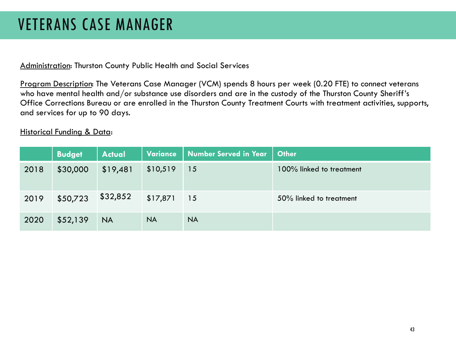### VETERANS CASE MANAGER

Administration: Thurston County Public Health and Social Services

Program Description: The Veterans Case Manager (VCM) spends 8 hours per week (0.20 FTE) to connect veterans who have mental health and/or substance use disorders and are in the custody of the Thurston County Sheriff's Office Corrections Bureau or are enrolled in the Thurston County Treatment Courts with treatment activities, supports, and services for up to 90 days.

|      | <b>Budget</b> | <b>Actual</b> | Variance  | Number Served in Year | <b>Other</b>             |
|------|---------------|---------------|-----------|-----------------------|--------------------------|
| 2018 | \$30,000      | \$19,481      | \$10,519  | 15                    | 100% linked to treatment |
| 2019 | \$50,723      | \$32,852      | \$17,871  | 15                    | 50% linked to treatment  |
| 2020 | \$52,139      | <b>NA</b>     | <b>NA</b> | <b>NA</b>             |                          |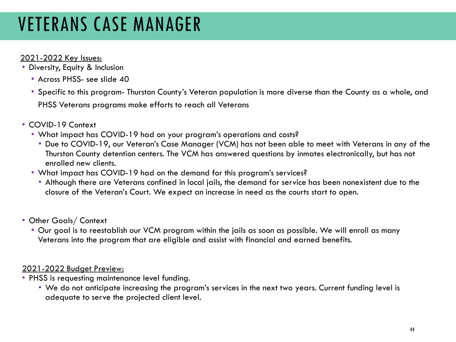## VETERANS CASE MANAGER

### 2021-2022 Key Issues:

- Diversity, Equity & Inclusion
	- Across PHSS- see slide 40
	- Specific to this program- Thurston County's Veteran population is more diverse than the County as a whole, and PHSS Veterans programs make efforts to reach all Veterans
- COVID-19 Context
	- What impact has COVID-19 had on your program's operations and costs?
		- Due to COVID-19, our Veteran's Case Manager (VCM) has not been able to meet with Veterans in any of the Thurston County detention centers. The VCM has answered questions by inmates electronically, but has not enrolled new clients.
	- What impact has COVID-19 had on the demand for this program's services?
		- Although there are Veterans confined in local jails, the demand for service has been nonexistent due to the closure of the Veteran's Court. We expect an increase in need as the courts start to open.
- Other Goals/ Context
	- Our goal is to reestablish our VCM program within the jails as soon as possible. We will enroll as many Veterans into the program that are eligible and assist with financial and earned benefits.

#### 2021-2022 Budget Preview:

- PHSS is requesting maintenance level funding.
	- We do not anticipate increasing the program's services in the next two years. Current funding level is adequate to serve the projected client level.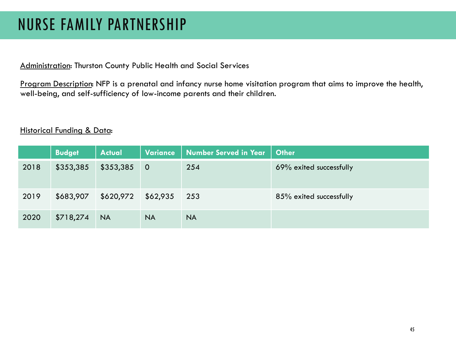### NURSE FAMILY PARTNERSHIP

Administration: Thurston County Public Health and Social Services

Program Description: NFP is a prenatal and infancy nurse home visitation program that aims to improve the health, well-being, and self-sufficiency of low-income parents and their children.

|      | <b>Budget</b> | <b>Actual</b> | <b>Variance</b> | Number Served in Year | <b>Other</b>            |
|------|---------------|---------------|-----------------|-----------------------|-------------------------|
| 2018 | \$353,385     | \$353,385     | $\overline{0}$  | 254                   | 69% exited successfully |
| 2019 | \$683,907     | \$620,972     | \$62,935        | 253                   | 85% exited successfully |
| 2020 | \$718,274     | <b>NA</b>     | <b>NA</b>       | <b>NA</b>             |                         |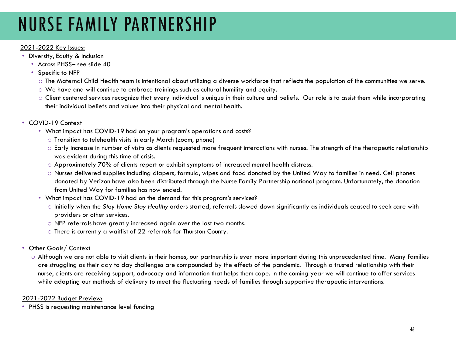## NURSE FAMILY PARTNERSHIP

#### 2021-2022 Key Issues:

- Diversity, Equity & Inclusion
	- Across PHSS- see slide 40
	- Specific to NFP
		- o The Maternal Child Health team is intentional about utilizing a diverse workforce that reflects the population of the communities we serve.
		- o We have and will continue to embrace trainings such as cultural humility and equity.
		- o Client centered services recognize that every individual is unique in their culture and beliefs. Our role is to assist them while incorporating their individual beliefs and values into their physical and mental health.
- COVID-19 Context
	- What impact has COVID-19 had on your program's operations and costs?
		- o Transition to telehealth visits in early March (zoom, phone)
		- o Early increase in number of visits as clients requested more frequent interactions with nurses. The strength of the therapeutic relationship was evident during this time of crisis.
		- $\circ$  Approximately 70% of clients report or exhibit symptoms of increased mental health distress.
		- o Nurses delivered supplies including diapers, formula, wipes and food donated by the United Way to families in need. Cell phones donated by Verizon have also been distributed through the Nurse Family Partnership national program. Unfortunately, the donation from United Way for families has now ended.
	- What impact has COVID-19 had on the demand for this program's services?
		- o Initially when the *Stay Home Stay Healthy* orders started, referrals slowed down significantly as individuals ceased to seek care with providers or other services.
		- o NFP referrals have greatly increased again over the last two months.
		- o There is currently a waitlist of 22 referrals for Thurston County.
- Other Goals/ Context
	- o Although we are not able to visit clients in their homes, our partnership is even more important during this unprecedented time. Many families are struggling as their day to day challenges are compounded by the effects of the pandemic. Through a trusted relationship with their nurse, clients are receiving support, advocacy and information that helps them cope. In the coming year we will continue to offer services while adapting our methods of delivery to meet the fluctuating needs of families through supportive therapeutic interventions.

#### 2021-2022 Budget Preview:

• PHSS is requesting maintenance level funding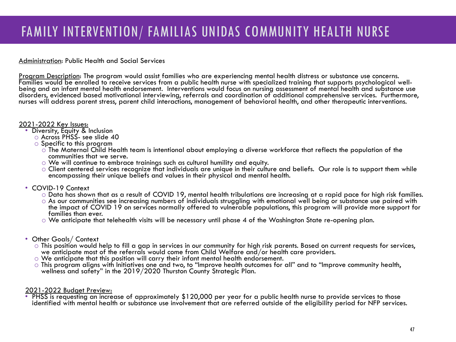### FAMILY INTERVENTION/ FAMILIAS UNIDAS COMMUNITY HEALTH NURSE

#### Administration: Public Health and Social Services

Program Description: The program would assist families who are experiencing mental health distress or substance use concerns.<br>Families would be enrolled to receive services from a public health nurse with specialized train being and an infant mental health endorsement. Interventions would focus on nursing assessment of mental health and substance use disorders, evidenced based motivational interviewing, referrals and coordination of additional comprehensive services. Furthermore, nurses will address parent stress, parent child interactions, management of behavioral health, and other therapeutic interventions.

- 2021-2022 Key Issues:<br>• Diversity, Equity & Inclusion
	- o Across PHSS- see slide 40
	- o Specific to this program
		- o The Maternal Child Health team is intentional about employing a diverse workforce that reflects the population of the communities that we serve.
		- o We will continue to embrace trainings such as cultural humility and equity.
		- o Client centered services recognize that individuals are unique in their culture and beliefs. Our role is to support them while encompassing their unique beliefs and values in their physical and mental health.

- COVID-19 Context<br>○ Data has shown that as a result of COVID 19, mental health tribulations are increasing at a rapid pace for high risk families.
	- As our communities see increasing numbers of individuals struggling with emotional well being or substance use paired with the impact of COVID 19 on services normally offered to vulnerable populations, this program will provide more support for families than ever.
	- $\circ$  We anticipate that telehealth visits will be necessary until phase 4 of the Washington State re-opening plan.
- Other Goals/ Context
	- This position would help to fill a gap in services in our community for high risk parents. Based on current requests for services, we anticipate most of the referrals would come from Child Welfare and/or health care provid
	- o We anticipate that this position will carry their infant mental health endorsement.
	- o This program aligns with Initiatives one and two, to "Improve health outcomes for all" and to "Improve community health, wellness and safety" in the 2019/2020 Thurston County Strategic Plan.

2021-2022 Budget Preview:<br>• PHSS is requesting an increase of approximately \$120,000 per year for a public health nurse to provide services to those identified with mental health or substance use involvement that are referred outside of the eligibility period for NFP services.